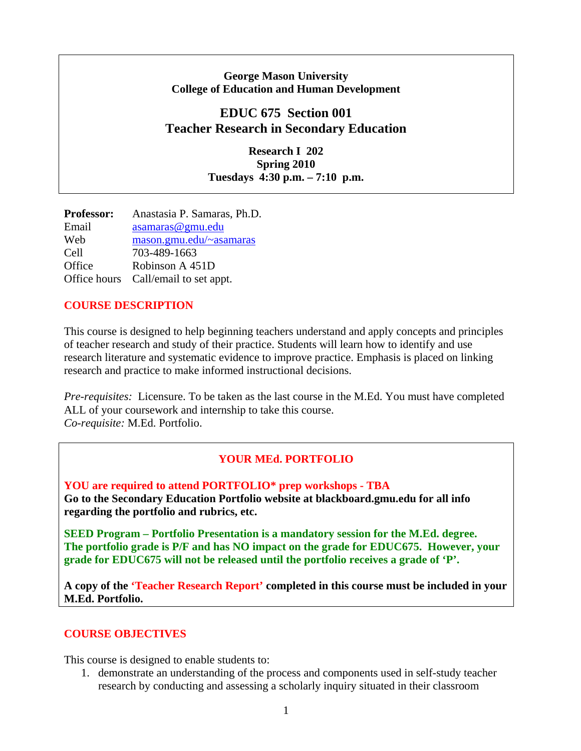**George Mason University College of Education and Human Development** 

# **EDUC 675 Section 001 Teacher Research in Secondary Education**

**Research I 202 Spring 2010 Tuesdays 4:30 p.m. – 7:10 p.m.** 

**Professor:** Anastasia P. Samaras, Ph.D. Email asamaras@gmu.edu Web mason.gmu.edu/~asamaras Cell 703-489-1663 Office Robinson A 451D Office hours Call/email to set appt.

## **COURSE DESCRIPTION**

This course is designed to help beginning teachers understand and apply concepts and principles of teacher research and study of their practice. Students will learn how to identify and use research literature and systematic evidence to improve practice. Emphasis is placed on linking research and practice to make informed instructional decisions.

*Pre-requisites:* Licensure. To be taken as the last course in the M.Ed. You must have completed ALL of your coursework and internship to take this course. *Co-requisite:* M.Ed. Portfolio.

## **YOUR MEd. PORTFOLIO**

**YOU are required to attend PORTFOLIO\* prep workshops - TBA Go to the Secondary Education Portfolio website at blackboard.gmu.edu for all info regarding the portfolio and rubrics, etc.** 

**SEED Program – Portfolio Presentation is a mandatory session for the M.Ed. degree. The portfolio grade is P/F and has NO impact on the grade for EDUC675. However, your grade for EDUC675 will not be released until the portfolio receives a grade of 'P'.**

**A copy of the 'Teacher Research Report' completed in this course must be included in your M.Ed. Portfolio.** 

## **COURSE OBJECTIVES**

This course is designed to enable students to:

1. demonstrate an understanding of the process and components used in self-study teacher research by conducting and assessing a scholarly inquiry situated in their classroom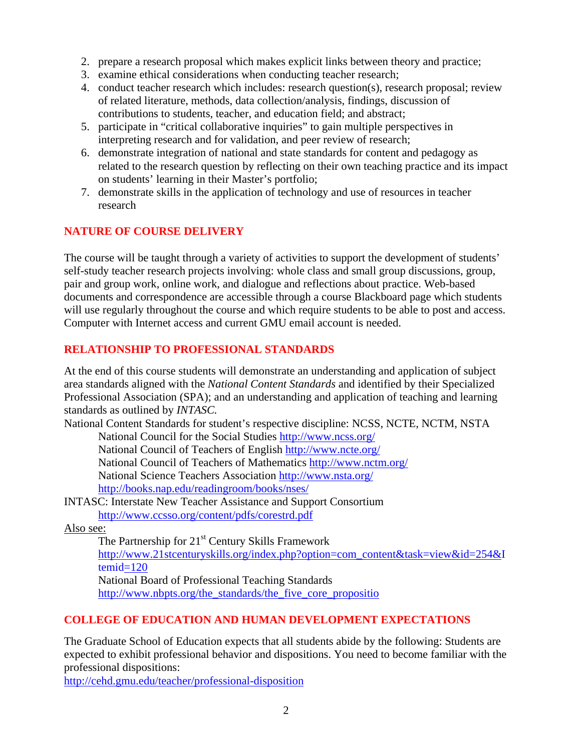- 2. prepare a research proposal which makes explicit links between theory and practice;
- 3. examine ethical considerations when conducting teacher research;
- 4. conduct teacher research which includes: research question(s), research proposal; review of related literature, methods, data collection/analysis, findings, discussion of contributions to students, teacher, and education field; and abstract;
- 5. participate in "critical collaborative inquiries" to gain multiple perspectives in interpreting research and for validation, and peer review of research;
- 6. demonstrate integration of national and state standards for content and pedagogy as related to the research question by reflecting on their own teaching practice and its impact on students' learning in their Master's portfolio;
- 7. demonstrate skills in the application of technology and use of resources in teacher research

## **NATURE OF COURSE DELIVERY**

The course will be taught through a variety of activities to support the development of students' self-study teacher research projects involving: whole class and small group discussions, group, pair and group work, online work, and dialogue and reflections about practice. Web-based documents and correspondence are accessible through a course Blackboard page which students will use regularly throughout the course and which require students to be able to post and access. Computer with Internet access and current GMU email account is needed.

## **RELATIONSHIP TO PROFESSIONAL STANDARDS**

At the end of this course students will demonstrate an understanding and application of subject area standards aligned with the *National Content Standards* and identified by their Specialized Professional Association (SPA); and an understanding and application of teaching and learning standards as outlined by *INTASC.* 

National Content Standards for student's respective discipline: NCSS, NCTE, NCTM, NSTA

National Council for the Social Studies http://www.ncss.org/

National Council of Teachers of English http://www.ncte.org/

National Council of Teachers of Mathematics http://www.nctm.org/

National Science Teachers Association http://www.nsta.org/

http://books.nap.edu/readingroom/books/nses/

INTASC: Interstate New Teacher Assistance and Support Consortium

http://www.ccsso.org/content/pdfs/corestrd.pdf

Also see:

The Partnership for 21<sup>st</sup> Century Skills Framework http://www.21stcenturyskills.org/index.php?option=com\_content&task=view&id=254&I temid=120 National Board of Professional Teaching Standards

http://www.nbpts.org/the\_standards/the\_five\_core\_propositio

## **COLLEGE OF EDUCATION AND HUMAN DEVELOPMENT EXPECTATIONS**

The Graduate School of Education expects that all students abide by the following: Students are expected to exhibit professional behavior and dispositions. You need to become familiar with the professional dispositions:

http://cehd.gmu.edu/teacher/professional-disposition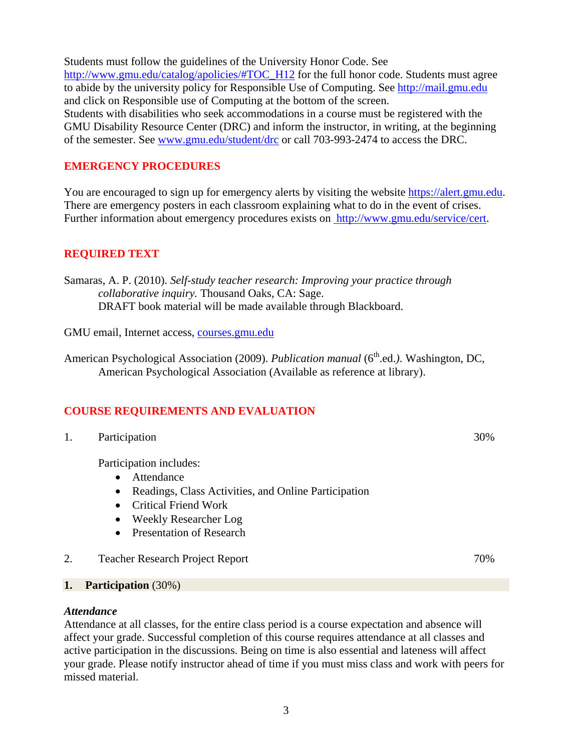Students must follow the guidelines of the University Honor Code. See http://www.gmu.edu/catalog/apolicies/#TOC\_H12 for the full honor code. Students must agree to abide by the university policy for Responsible Use of Computing. See http://mail.gmu.edu and click on Responsible use of Computing at the bottom of the screen. Students with disabilities who seek accommodations in a course must be registered with the GMU Disability Resource Center (DRC) and inform the instructor, in writing, at the beginning of the semester. See www.gmu.edu/student/drc or call 703-993-2474 to access the DRC.

### **EMERGENCY PROCEDURES**

You are encouraged to sign up for emergency alerts by visiting the website https://alert.gmu.edu. There are emergency posters in each classroom explaining what to do in the event of crises. Further information about emergency procedures exists on http://www.gmu.edu/service/cert.

## **REQUIRED TEXT**

Samaras, A. P. (2010). *Self-study teacher research: Improving your practice through collaborative inquiry.* Thousand Oaks, CA: Sage. DRAFT book material will be made available through Blackboard.

GMU email, Internet access, courses.gmu.edu

American Psychological Association (2009). *Publication manual* (6<sup>th</sup>.ed.). Washington, DC, American Psychological Association (Available as reference at library).

## **COURSE REQUIREMENTS AND EVALUATION**

1. Participation 30%

Participation includes:

- Attendance
- Readings, Class Activities, and Online Participation
- Critical Friend Work
- Weekly Researcher Log
- Presentation of Research
- 2. Teacher Research Project Report 70%

#### **1. Participation** (30%)

#### *Attendance*

Attendance at all classes, for the entire class period is a course expectation and absence will affect your grade. Successful completion of this course requires attendance at all classes and active participation in the discussions. Being on time is also essential and lateness will affect your grade. Please notify instructor ahead of time if you must miss class and work with peers for missed material.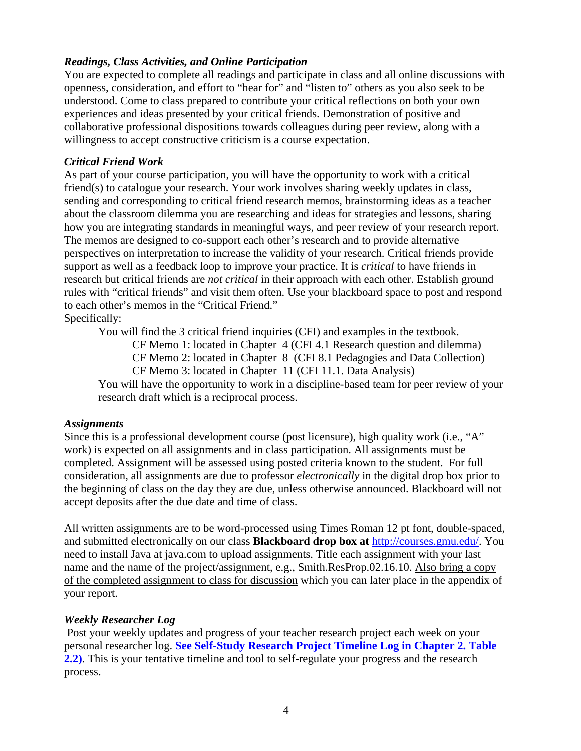### *Readings, Class Activities, and Online Participation*

You are expected to complete all readings and participate in class and all online discussions with openness, consideration, and effort to "hear for" and "listen to" others as you also seek to be understood. Come to class prepared to contribute your critical reflections on both your own experiences and ideas presented by your critical friends. Demonstration of positive and collaborative professional dispositions towards colleagues during peer review, along with a willingness to accept constructive criticism is a course expectation.

### *Critical Friend Work*

As part of your course participation, you will have the opportunity to work with a critical friend(s) to catalogue your research. Your work involves sharing weekly updates in class, sending and corresponding to critical friend research memos, brainstorming ideas as a teacher about the classroom dilemma you are researching and ideas for strategies and lessons, sharing how you are integrating standards in meaningful ways, and peer review of your research report. The memos are designed to co-support each other's research and to provide alternative perspectives on interpretation to increase the validity of your research. Critical friends provide support as well as a feedback loop to improve your practice. It is *critical* to have friends in research but critical friends are *not critical* in their approach with each other. Establish ground rules with "critical friends" and visit them often. Use your blackboard space to post and respond to each other's memos in the "Critical Friend."

Specifically:

You will find the 3 critical friend inquiries (CFI) and examples in the textbook.

CF Memo 1: located in Chapter 4 (CFI 4.1 Research question and dilemma)

CF Memo 2: located in Chapter 8 (CFI 8.1 Pedagogies and Data Collection)

CF Memo 3: located in Chapter 11 (CFI 11.1. Data Analysis)

You will have the opportunity to work in a discipline-based team for peer review of your research draft which is a reciprocal process.

#### *Assignments*

Since this is a professional development course (post licensure), high quality work (i.e., "A" work) is expected on all assignments and in class participation. All assignments must be completed. Assignment will be assessed using posted criteria known to the student. For full consideration, all assignments are due to professor *electronically* in the digital drop box prior to the beginning of class on the day they are due, unless otherwise announced. Blackboard will not accept deposits after the due date and time of class.

All written assignments are to be word-processed using Times Roman 12 pt font, double-spaced, and submitted electronically on our class **Blackboard drop box at** http://courses.gmu.edu/. You need to install Java at java.com to upload assignments. Title each assignment with your last name and the name of the project/assignment, e.g., Smith.ResProp.02.16.10. Also bring a copy of the completed assignment to class for discussion which you can later place in the appendix of your report.

## *Weekly Researcher Log*

Post your weekly updates and progress of your teacher research project each week on your personal researcher log. **See Self-Study Research Project Timeline Log in Chapter 2. Table 2.2)**. This is your tentative timeline and tool to self-regulate your progress and the research process.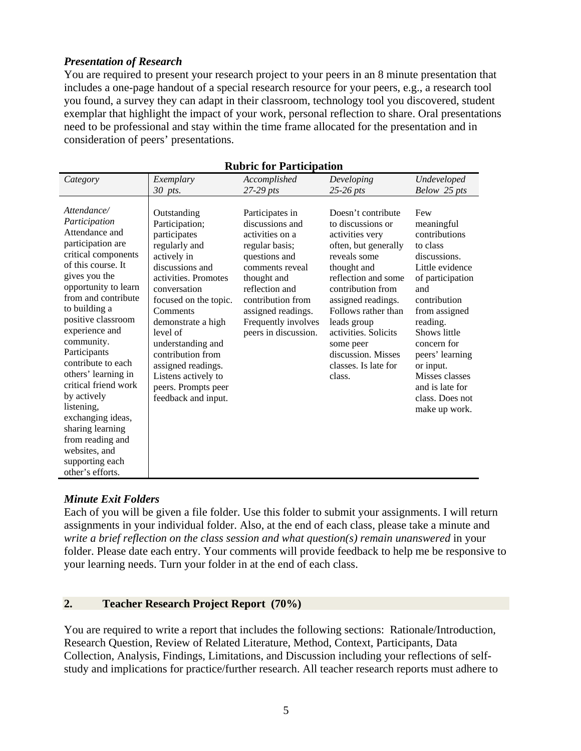### *Presentation of Research*

You are required to present your research project to your peers in an 8 minute presentation that includes a one-page handout of a special research resource for your peers, e.g., a research tool you found, a survey they can adapt in their classroom, technology tool you discovered, student exemplar that highlight the impact of your work, personal reflection to share. Oral presentations need to be professional and stay within the time frame allocated for the presentation and in consideration of peers' presentations.

| Category                                                                                                                                                                                                                                                                                                                                                                                                                                                                                       | Exemplary                                                                                                                                                                                                                                                                                                                                            | Accomplished                                                                                                                                                                                                                           | Developing                                                                                                                                                                                                                                                                                                             | Undeveloped                                                                                                                                                                                                                                                                                       |
|------------------------------------------------------------------------------------------------------------------------------------------------------------------------------------------------------------------------------------------------------------------------------------------------------------------------------------------------------------------------------------------------------------------------------------------------------------------------------------------------|------------------------------------------------------------------------------------------------------------------------------------------------------------------------------------------------------------------------------------------------------------------------------------------------------------------------------------------------------|----------------------------------------------------------------------------------------------------------------------------------------------------------------------------------------------------------------------------------------|------------------------------------------------------------------------------------------------------------------------------------------------------------------------------------------------------------------------------------------------------------------------------------------------------------------------|---------------------------------------------------------------------------------------------------------------------------------------------------------------------------------------------------------------------------------------------------------------------------------------------------|
|                                                                                                                                                                                                                                                                                                                                                                                                                                                                                                | 30 pts.                                                                                                                                                                                                                                                                                                                                              | $27-29$ pts                                                                                                                                                                                                                            | $25-26$ pts                                                                                                                                                                                                                                                                                                            | Below 25 pts                                                                                                                                                                                                                                                                                      |
| Attendance/<br>Participation<br>Attendance and<br>participation are<br>critical components<br>of this course. It<br>gives you the<br>opportunity to learn<br>from and contribute<br>to building a<br>positive classroom<br>experience and<br>community.<br>Participants<br>contribute to each<br>others' learning in<br>critical friend work<br>by actively<br>listening,<br>exchanging ideas,<br>sharing learning<br>from reading and<br>websites, and<br>supporting each<br>other's efforts. | Outstanding<br>Participation;<br>participates<br>regularly and<br>actively in<br>discussions and<br>activities. Promotes<br>conversation<br>focused on the topic.<br>Comments<br>demonstrate a high<br>level of<br>understanding and<br>contribution from<br>assigned readings.<br>Listens actively to<br>peers. Prompts peer<br>feedback and input. | Participates in<br>discussions and<br>activities on a<br>regular basis;<br>questions and<br>comments reveal<br>thought and<br>reflection and<br>contribution from<br>assigned readings.<br>Frequently involves<br>peers in discussion. | Doesn't contribute<br>to discussions or<br>activities very<br>often, but generally<br>reveals some<br>thought and<br>reflection and some<br>contribution from<br>assigned readings.<br>Follows rather than<br>leads group<br>activities. Solicits<br>some peer<br>discussion. Misses<br>classes. Is late for<br>class. | Few<br>meaningful<br>contributions<br>to class<br>discussions.<br>Little evidence<br>of participation<br>and<br>contribution<br>from assigned<br>reading.<br>Shows little<br>concern for<br>peers' learning<br>or input.<br>Misses classes<br>and is late for<br>class. Does not<br>make up work. |

#### **Rubric for Participation**

## *Minute Exit Folders*

Each of you will be given a file folder. Use this folder to submit your assignments. I will return assignments in your individual folder. Also, at the end of each class, please take a minute and *write a brief reflection on the class session and what question(s) remain unanswered* in your folder. Please date each entry. Your comments will provide feedback to help me be responsive to your learning needs. Turn your folder in at the end of each class.

#### **2. Teacher Research Project Report (70%)**

You are required to write a report that includes the following sections: Rationale/Introduction, Research Question, Review of Related Literature, Method, Context, Participants, Data Collection, Analysis, Findings, Limitations, and Discussion including your reflections of selfstudy and implications for practice/further research. All teacher research reports must adhere to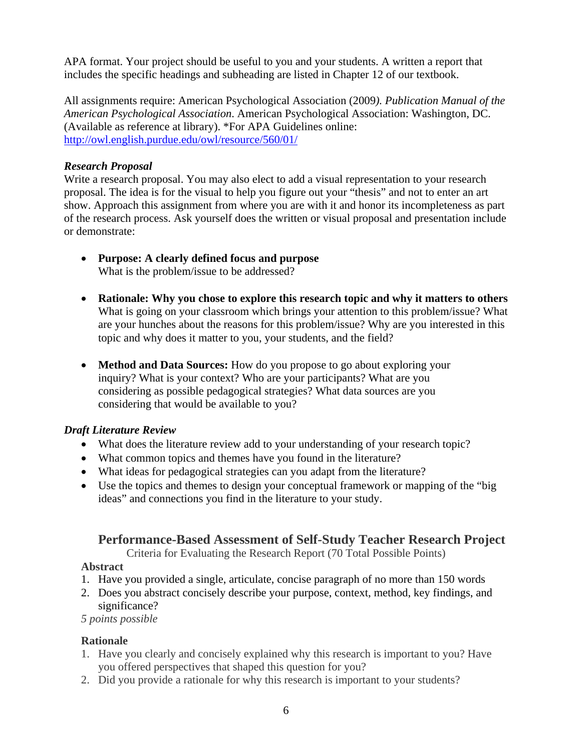APA format. Your project should be useful to you and your students. A written a report that includes the specific headings and subheading are listed in Chapter 12 of our textbook.

All assignments require: American Psychological Association (2009*). Publication Manual of the American Psychological Association*. American Psychological Association: Washington, DC. (Available as reference at library). \*For APA Guidelines online: http://owl.english.purdue.edu/owl/resource/560/01/

## *Research Proposal*

Write a research proposal. You may also elect to add a visual representation to your research proposal. The idea is for the visual to help you figure out your "thesis" and not to enter an art show. Approach this assignment from where you are with it and honor its incompleteness as part of the research process. Ask yourself does the written or visual proposal and presentation include or demonstrate:

- **Purpose: A clearly defined focus and purpose**  What is the problem/issue to be addressed?
- **Rationale: Why you chose to explore this research topic and why it matters to others**  What is going on your classroom which brings your attention to this problem/issue? What are your hunches about the reasons for this problem/issue? Why are you interested in this topic and why does it matter to you, your students, and the field?
- **Method and Data Sources:** How do you propose to go about exploring your inquiry? What is your context? Who are your participants? What are you considering as possible pedagogical strategies? What data sources are you considering that would be available to you?

## *Draft Literature Review*

- What does the literature review add to your understanding of your research topic?
- What common topics and themes have you found in the literature?
- What ideas for pedagogical strategies can you adapt from the literature?
- Use the topics and themes to design your conceptual framework or mapping of the "big" ideas" and connections you find in the literature to your study.

# **Performance-Based Assessment of Self-Study Teacher Research Project**

Criteria for Evaluating the Research Report (70 Total Possible Points)

## **Abstract**

- 1. Have you provided a single, articulate, concise paragraph of no more than 150 words
- 2. Does you abstract concisely describe your purpose, context, method, key findings, and significance?

 *5 points possible* 

## **Rationale**

- 1. Have you clearly and concisely explained why this research is important to you? Have you offered perspectives that shaped this question for you?
- 2. Did you provide a rationale for why this research is important to your students?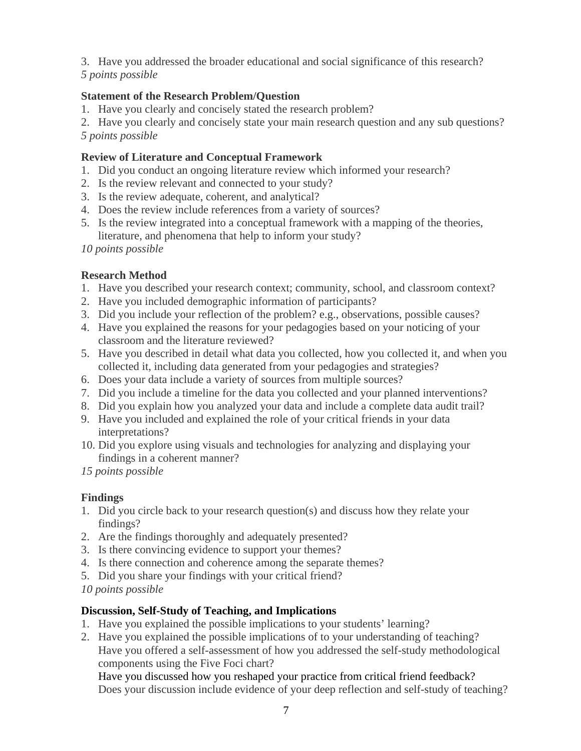3. Have you addressed the broader educational and social significance of this research?

 *5 points possible* 

# **Statement of the Research Problem/Question**

1. Have you clearly and concisely stated the research problem?

2. Have you clearly and concisely state your main research question and any sub questions?

*5 points possible* 

# **Review of Literature and Conceptual Framework**

- 1. Did you conduct an ongoing literature review which informed your research?
- 2. Is the review relevant and connected to your study?
- 3. Is the review adequate, coherent, and analytical?
- 4. Does the review include references from a variety of sources?
- 5. Is the review integrated into a conceptual framework with a mapping of the theories, literature, and phenomena that help to inform your study?
- *10 points possible*

# **Research Method**

- 1. Have you described your research context; community, school, and classroom context?
- 2. Have you included demographic information of participants?
- 3. Did you include your reflection of the problem? e.g., observations, possible causes?
- 4. Have you explained the reasons for your pedagogies based on your noticing of your classroom and the literature reviewed?
- 5. Have you described in detail what data you collected, how you collected it, and when you collected it, including data generated from your pedagogies and strategies?
- 6. Does your data include a variety of sources from multiple sources?
- 7. Did you include a timeline for the data you collected and your planned interventions?
- 8. Did you explain how you analyzed your data and include a complete data audit trail?
- 9. Have you included and explained the role of your critical friends in your data interpretations?
- 10. Did you explore using visuals and technologies for analyzing and displaying your findings in a coherent manner?

*15 points possible* 

# **Findings**

- 1. Did you circle back to your research question(s) and discuss how they relate your findings?
- 2. Are the findings thoroughly and adequately presented?
- 3. Is there convincing evidence to support your themes?
- 4. Is there connection and coherence among the separate themes?
- 5. Did you share your findings with your critical friend?
- *10 points possible*

# **Discussion, Self-Study of Teaching, and Implications**

- 1. Have you explained the possible implications to your students' learning?
- 2. Have you explained the possible implications of to your understanding of teaching? Have you offered a self-assessment of how you addressed the self-study methodological components using the Five Foci chart?

Have you discussed how you reshaped your practice from critical friend feedback? Does your discussion include evidence of your deep reflection and self-study of teaching?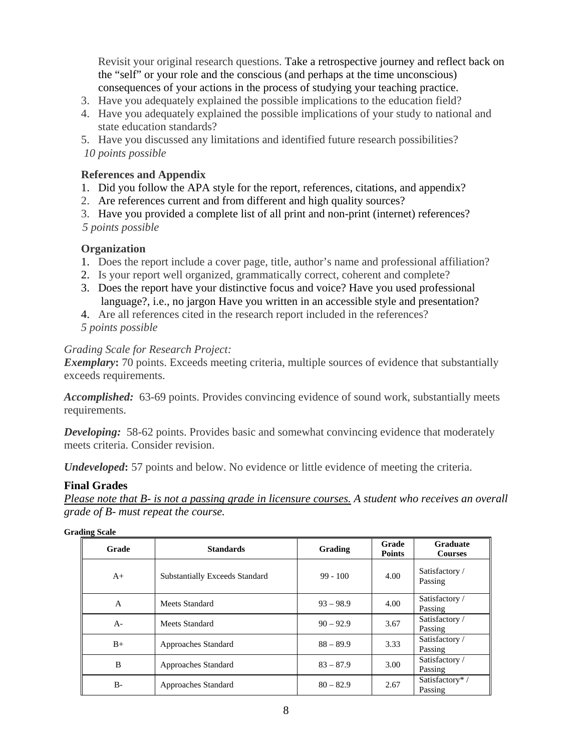Revisit your original research questions. Take a retrospective journey and reflect back on the "self" or your role and the conscious (and perhaps at the time unconscious) consequences of your actions in the process of studying your teaching practice.

- 3. Have you adequately explained the possible implications to the education field?
- 4. Have you adequately explained the possible implications of your study to national and state education standards?
- 5. Have you discussed any limitations and identified future research possibilities?  *10 points possible*

### **References and Appendix**

- 1. Did you follow the APA style for the report, references, citations, and appendix?
- 2. Are references current and from different and high quality sources?
- 3. Have you provided a complete list of all print and non-print (internet) references?

 *5 points possible* 

### **Organization**

- 1. Does the report include a cover page, title, author's name and professional affiliation?
- 2. Is your report well organized, grammatically correct, coherent and complete?
- 3. Does the report have your distinctive focus and voice? Have you used professional language?, i.e., no jargon Have you written in an accessible style and presentation?
- 4. Are all references cited in the research report included in the references?
- *5 points possible*

#### *Grading Scale for Research Project:*

**Exemplary**: 70 points. Exceeds meeting criteria, multiple sources of evidence that substantially exceeds requirements.

*Accomplished:* 63-69 points. Provides convincing evidence of sound work, substantially meets requirements.

**Developing:** 58-62 points. Provides basic and somewhat convincing evidence that moderately meets criteria. Consider revision.

*Undeveloped***:** 57 points and below. No evidence or little evidence of meeting the criteria.

#### **Final Grades**

*Please note that B- is not a passing grade in licensure courses. A student who receives an overall grade of B- must repeat the course.* 

| Grade        | <b>Standards</b>                      | Grading     | Grade<br><b>Points</b> | <b>Graduate</b><br><b>Courses</b> |
|--------------|---------------------------------------|-------------|------------------------|-----------------------------------|
| $A+$         | <b>Substantially Exceeds Standard</b> | $99 - 100$  | 4.00                   | Satisfactory /<br>Passing         |
| $\mathsf{A}$ | Meets Standard                        | $93 - 98.9$ | 4.00                   | Satisfactory /<br>Passing         |
| $A -$        | Meets Standard                        | $90 - 92.9$ | 3.67                   | Satisfactory /<br>Passing         |
| $B+$         | Approaches Standard                   | $88 - 89.9$ | 3.33                   | Satisfactory /<br>Passing         |
| B            | Approaches Standard                   | $83 - 87.9$ | 3.00                   | Satisfactory /<br>Passing         |
| $B-$         | Approaches Standard                   | $80 - 82.9$ | 2.67                   | Satisfactory*/<br>Passing         |

#### **Grading Scale**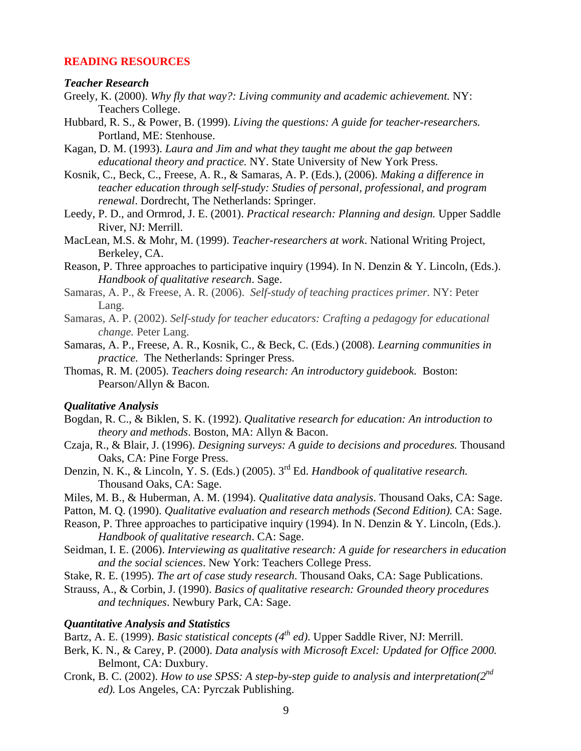#### **READING RESOURCES**

#### *Teacher Research*

- Greely, K. (2000). *Why fly that way?: Living community and academic achievement.* NY: Teachers College.
- Hubbard, R. S., & Power, B. (1999). *Living the questions: A guide for teacher-researchers.*  Portland, ME: Stenhouse.
- Kagan, D. M. (1993). *Laura and Jim and what they taught me about the gap between educational theory and practice.* NY. State University of New York Press.
- Kosnik, C., Beck, C., Freese, A. R., & Samaras, A. P. (Eds.), (2006). *Making a difference in teacher education through self-study: Studies of personal, professional, and program renewal*. Dordrecht, The Netherlands: Springer.
- Leedy, P. D., and Ormrod, J. E. (2001). *Practical research: Planning and design.* Upper Saddle River, NJ: Merrill.
- MacLean, M.S. & Mohr, M. (1999). *Teacher-researchers at work*. National Writing Project, Berkeley, CA.
- Reason, P. Three approaches to participative inquiry (1994). In N. Denzin & Y. Lincoln, (Eds.). *Handbook of qualitative research*. Sage.
- Samaras, A. P., & Freese, A. R. (2006). *Self-study of teaching practices primer.* NY: Peter Lang.
- Samaras, A. P. (2002). *Self-study for teacher educators: Crafting a pedagogy for educational change.* Peter Lang.
- Samaras, A. P., Freese, A. R., Kosnik, C., & Beck, C. (Eds.) (2008). *Learning communities in practice.* The Netherlands: Springer Press.
- Thomas, R. M. (2005). *Teachers doing research: An introductory guidebook.* Boston: Pearson/Allyn & Bacon.

#### *Qualitative Analysis*

- Bogdan, R. C., & Biklen, S. K. (1992). *Qualitative research for education: An introduction to theory and methods*. Boston, MA: Allyn & Bacon.
- Czaja, R., & Blair, J. (1996). *Designing surveys: A guide to decisions and procedures.* Thousand Oaks, CA: Pine Forge Press.
- Denzin, N. K., & Lincoln, Y. S. (Eds.) (2005). 3rd Ed. *Handbook of qualitative research.*  Thousand Oaks, CA: Sage.
- Miles, M. B., & Huberman, A. M. (1994). *Qualitative data analysis*. Thousand Oaks, CA: Sage.
- Patton, M. Q. (1990). *Qualitative evaluation and research methods (Second Edition)*. CA: Sage.
- Reason, P. Three approaches to participative inquiry (1994). In N. Denzin & Y. Lincoln, (Eds.). *Handbook of qualitative research*. CA: Sage.
- Seidman, I. E. (2006). *Interviewing as qualitative research: A guide for researchers in education and the social sciences*. New York: Teachers College Press.
- Stake, R. E. (1995). *The art of case study research*. Thousand Oaks, CA: Sage Publications.
- Strauss, A., & Corbin, J. (1990). *Basics of qualitative research: Grounded theory procedures and techniques*. Newbury Park, CA: Sage.

#### *Quantitative Analysis and Statistics*

Bartz, A. E. (1999). *Basic statistical concepts (4<sup>th</sup> ed)*. Upper Saddle River, NJ: Merrill.

- Berk, K. N., & Carey, P. (2000). *Data analysis with Microsoft Excel: Updated for Office 2000.*  Belmont, CA: Duxbury.
- Cronk, B. C. (2002). *How to use SPSS: A step-by-step guide to analysis and interpretation(2nd ed).* Los Angeles, CA: Pyrczak Publishing.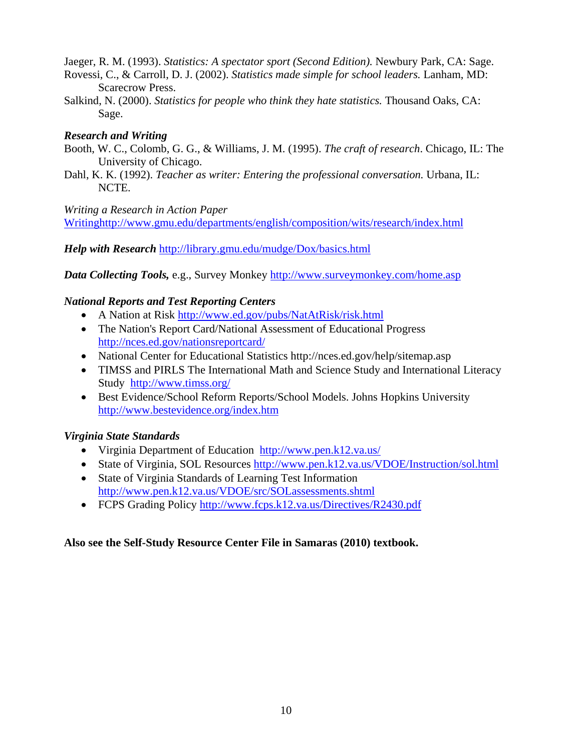Jaeger, R. M. (1993). *Statistics: A spectator sport (Second Edition).* Newbury Park, CA: Sage.

- Rovessi, C., & Carroll, D. J. (2002). *Statistics made simple for school leaders.* Lanham, MD: Scarecrow Press.
- Salkind, N. (2000). *Statistics for people who think they hate statistics.* Thousand Oaks, CA: Sage.

## *Research and Writing*

- Booth, W. C., Colomb, G. G., & Williams, J. M. (1995). *The craft of research*. Chicago, IL: The University of Chicago.
- Dahl, K. K. (1992). *Teacher as writer: Entering the professional conversation.* Urbana, IL: NCTE.

*Writing a Research in Action Paper* Writinghttp://www.gmu.edu/departments/english/composition/wits/research/index.html

*Help with Research* http://library.gmu.edu/mudge/Dox/basics.html

*Data Collecting Tools,* e.g., Survey Monkey http://www.surveymonkey.com/home.asp

## *National Reports and Test Reporting Centers*

- A Nation at Risk http://www.ed.gov/pubs/NatAtRisk/risk.html
- The Nation's Report Card/National Assessment of Educational Progress http://nces.ed.gov/nationsreportcard/
- National Center for Educational Statistics http://nces.ed.gov/help/sitemap.asp
- TIMSS and PIRLS The International Math and Science Study and International Literacy Study http://www.timss.org/
- Best Evidence/School Reform Reports/School Models. Johns Hopkins University http://www.bestevidence.org/index.htm

## *Virginia State Standards*

- Virginia Department of Education http://www.pen.k12.va.us/
- State of Virginia, SOL Resources http://www.pen.k12.va.us/VDOE/Instruction/sol.html
- State of Virginia Standards of Learning Test Information http://www.pen.k12.va.us/VDOE/src/SOLassessments.shtml
- FCPS Grading Policy http://www.fcps.k12.va.us/Directives/R2430.pdf

## **Also see the Self-Study Resource Center File in Samaras (2010) textbook.**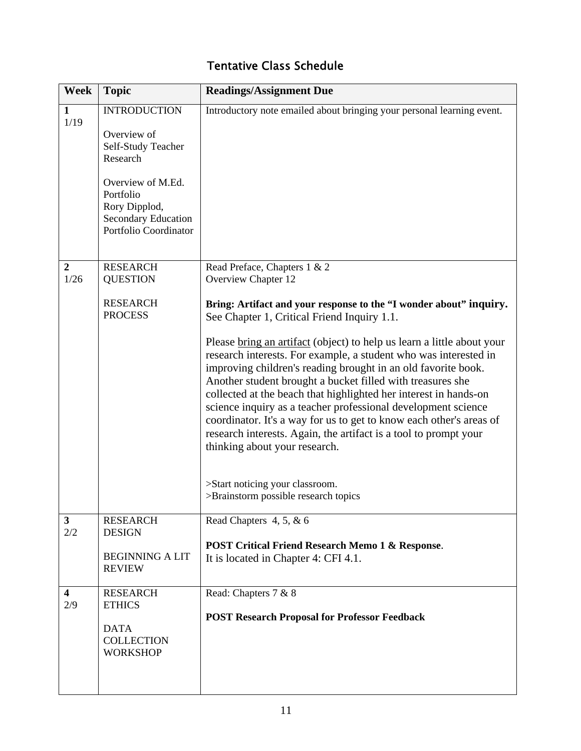#### Week Topic Readings/Assignment Due **1**  1/19 **INTRODUCTION** Overview of Self-Study Teacher Research Overview of M.Ed. Portfolio Rory Dipplod, Secondary Education Portfolio Coordinator Introductory note emailed about bringing your personal learning event. **2**  1/26 RESEARCH **QUESTION** RESEARCH **PROCESS** Read Preface, Chapters 1 & 2 Overview Chapter 12 **Bring: Artifact and your response to the "I wonder about" inquiry.** See Chapter 1, Critical Friend Inquiry 1.1. Please bring an artifact (object) to help us learn a little about your research interests. For example, a student who was interested in improving children's reading brought in an old favorite book. Another student brought a bucket filled with treasures she collected at the beach that highlighted her interest in hands-on science inquiry as a teacher professional development science coordinator. It's a way for us to get to know each other's areas of research interests. Again, the artifact is a tool to prompt your thinking about your research. >Start noticing your classroom. >Brainstorm possible research topics **3**  2/2 RESEARCH DESIGN BEGINNING A LIT REVIEW Read Chapters 4, 5, & 6 **POST Critical Friend Research Memo 1 & Response**. It is located in Chapter 4: CFI 4.1. **4**  2/9 RESEARCH **ETHICS** DATA **COLLECTION WORKSHOP** Read: Chapters 7 & 8 **POST Research Proposal for Professor Feedback**

# Tentative Class Schedule